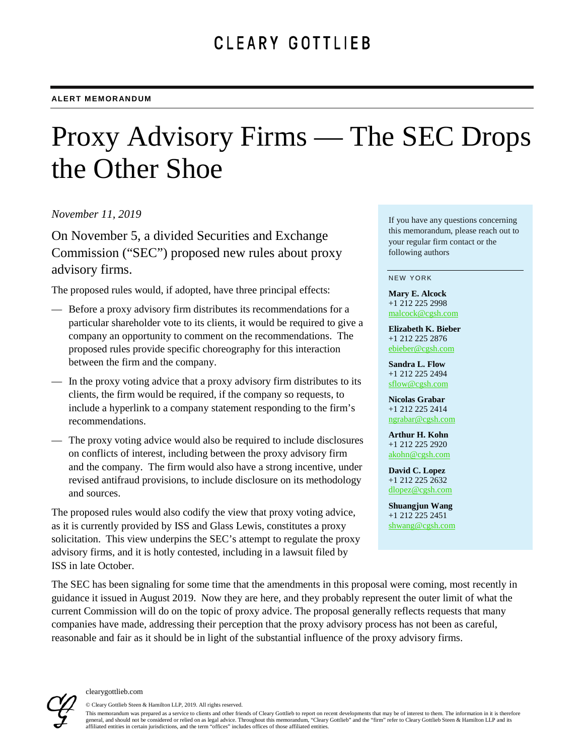# Proxy Advisory Firms — The SEC Drops the Other Shoe

*November 11, 2019* 

On November 5, a divided Securities and Exchange Commission ("SEC") proposed new rules about proxy advisory firms.

The proposed rules would, if adopted, have three principal effects:

- Before a proxy advisory firm distributes its recommendations for a particular shareholder vote to its clients, it would be required to give a company an opportunity to comment on the recommendations. The proposed rules provide specific choreography for this interaction between the firm and the company.
- In the proxy voting advice that a proxy advisory firm distributes to its clients, the firm would be required, if the company so requests, to include a hyperlink to a company statement responding to the firm's recommendations.
- The proxy voting advice would also be required to include disclosures on conflicts of interest, including between the proxy advisory firm and the company. The firm would also have a strong incentive, under revised antifraud provisions, to include disclosure on its methodology and sources.

The proposed rules would also codify the view that proxy voting advice, as it is currently provided by ISS and Glass Lewis, constitutes a proxy solicitation. This view underpins the SEC's attempt to regulate the proxy advisory firms, and it is hotly contested, including in a lawsuit filed by ISS in late October.

The SEC has been signaling for some time that the amendments in this proposal were coming, most recently in guidance it issued in August 2019. Now they are here, and they probably represent the outer limit of what the current Commission will do on the topic of proxy advice. The proposal generally reflects requests that many companies have made, addressing their perception that the proxy advisory process has not been as careful, reasonable and fair as it should be in light of the substantial influence of the proxy advisory firms.



clearygottlieb.com

© Cleary Gottlieb Steen & Hamilton LLP, 2019. All rights reserved.

This memorandum was prepared as a service to clients and other friends of Cleary Gottlieb to report on recent developments that may be of interest to them. The information in it is therefore general, and should not be considered or relied on as legal advice. Throughout this memorandum, "Cleary Gottlieb" and the "firm" refer to Cleary Gottlieb Steen & Hamilton LLP and its affiliated entities in certain jurisdictions, and the term "offices" includes offices of those affiliated entities.

If you have any questions concerning this memorandum, please reach out to your regular firm contact or the following authors

#### NEW YORK

**Mary E. Alcock** +1 212 225 2998 [malcock@cgsh.com](mailto:malcock@cgsh.com)

**Elizabeth K. Bieber** +1 212 225 2876 [ebieber@cgsh.com](mailto:ebieber@cgsh.com)

**Sandra L. Flow** +1 212 225 2494 [sflow@cgsh.com](mailto:sflow@cgsh.com)

**Nicolas Grabar** +1 212 225 2414 [ngrabar@cgsh.com](mailto:ngrabar@cgsh.com)

**Arthur H. Kohn** +1 212 225 2920 [akohn@cgsh.com](mailto:akohn@cgsh.com)

**David C. Lopez** +1 212 225 2632 [dlopez@cgsh.com](mailto:dlopez@cgsh.com)

**Shuangjun Wang** +1 212 225 2451 [shwang@cgsh.com](mailto:shwang@cgsh.com)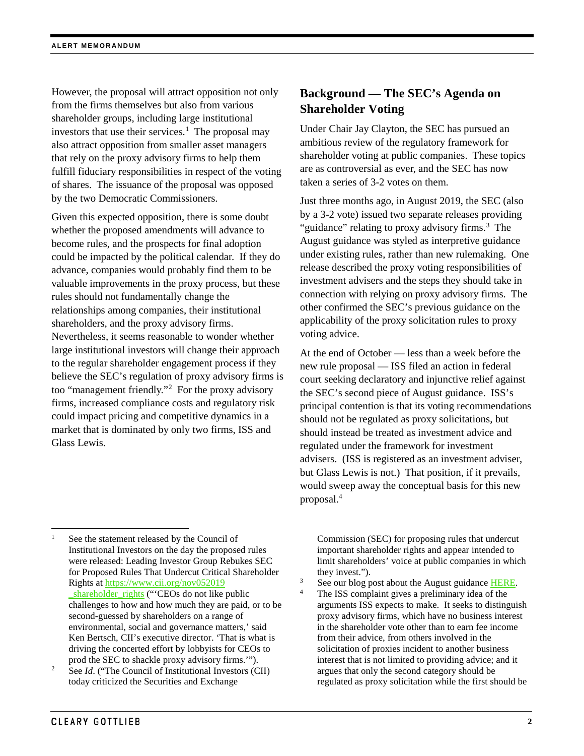However, the proposal will attract opposition not only from the firms themselves but also from various shareholder groups, including large institutional investors that use their services.<sup>[1](#page-1-0)</sup> The proposal may also attract opposition from smaller asset managers that rely on the proxy advisory firms to help them fulfill fiduciary responsibilities in respect of the voting of shares. The issuance of the proposal was opposed by the two Democratic Commissioners.

Given this expected opposition, there is some doubt whether the proposed amendments will advance to become rules, and the prospects for final adoption could be impacted by the political calendar. If they do advance, companies would probably find them to be valuable improvements in the proxy process, but these rules should not fundamentally change the relationships among companies, their institutional shareholders, and the proxy advisory firms. Nevertheless, it seems reasonable to wonder whether large institutional investors will change their approach to the regular shareholder engagement process if they believe the SEC's regulation of proxy advisory firms is too "management friendly."[2](#page-1-1) For the proxy advisory firms, increased compliance costs and regulatory risk could impact pricing and competitive dynamics in a market that is dominated by only two firms, ISS and Glass Lewis.

## **Background — The SEC's Agenda on Shareholder Voting**

Under Chair Jay Clayton, the SEC has pursued an ambitious review of the regulatory framework for shareholder voting at public companies. These topics are as controversial as ever, and the SEC has now taken a series of 3-2 votes on them.

Just three months ago, in August 2019, the SEC (also by a 3-2 vote) issued two separate releases providing "guidance" relating to proxy advisory firms.<sup>[3](#page-1-2)</sup> The August guidance was styled as interpretive guidance under existing rules, rather than new rulemaking. One release described the proxy voting responsibilities of investment advisers and the steps they should take in connection with relying on proxy advisory firms. The other confirmed the SEC's previous guidance on the applicability of the proxy solicitation rules to proxy voting advice.

At the end of October — less than a week before the new rule proposal — ISS filed an action in federal court seeking declaratory and injunctive relief against the SEC's second piece of August guidance. ISS's principal contention is that its voting recommendations should not be regulated as proxy solicitations, but should instead be treated as investment advice and regulated under the framework for investment advisers. (ISS is registered as an investment adviser, but Glass Lewis is not.) That position, if it prevails, would sweep [a](#page-1-3)way the conceptual basis for this new proposal.<sup>4</sup>

<span id="page-1-3"></span><span id="page-1-2"></span><span id="page-1-0"></span>See the statement released by the Council of Institutional Investors on the day the proposed rules were released: Leading Investor Group Rebukes SEC for Proposed Rules That Undercut Critical Shareholder Rights at [https://www.cii.org/nov052019](https://www.cii.org/nov052019_shareholder_rights) [\\_shareholder\\_rights](https://www.cii.org/nov052019_shareholder_rights) ("'CEOs do not like public challenges to how and how much they are paid, or to be second-guessed by shareholders on a range of environmental, social and governance matters,' said Ken Bertsch, CII's executive director. 'That is what is driving the concerted effort by lobbyists for CEOs to prod the SEC to shackle proxy advisory firms."").<br><sup>2</sup> See *Id*. ("The Council of Institutional Investors (CII)

<span id="page-1-1"></span>today criticized the Securities and Exchange

Commission (SEC) for proposing rules that undercut important shareholder rights and appear intended to limit shareholders' voice at public companies in which they invest.").

- $3\degree$  See our blog post about the August guidance  $\frac{\text{HERE}}{\text{the ISS}}$ .
	- arguments ISS expects to make. It seeks to distinguish proxy advisory firms, which have no business interest in the shareholder vote other than to earn fee income from their advice, from others involved in the solicitation of proxies incident to another business interest that is not limited to providing advice; and it argues that only the second category should be regulated as proxy solicitation while the first should be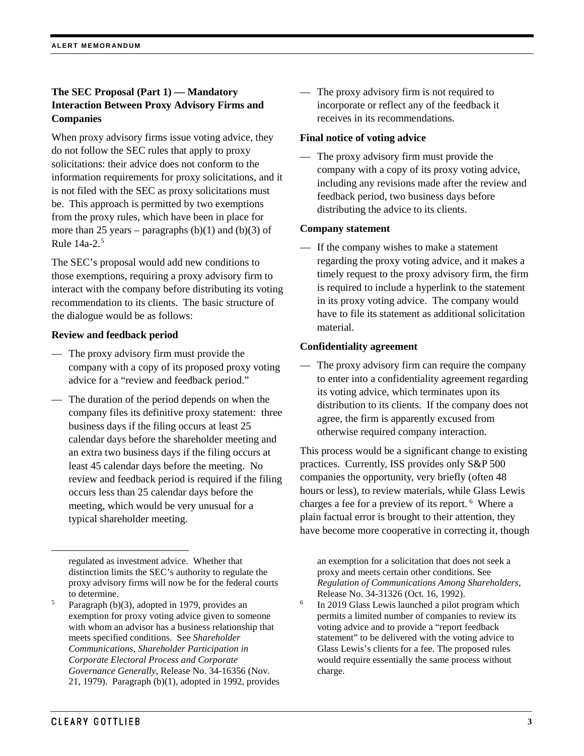### **The SEC Proposal (Part 1) — Mandatory Interaction Between Proxy Advisory Firms and Companies**

When proxy advisory firms issue voting advice, they do not follow the SEC rules that apply to proxy solicitations: their advice does not conform to the information requirements for proxy solicitations, and it is not filed with the SEC as proxy solicitations must be. This approach is permitted by two exemptions from the proxy rules, which have been in place for more than 25 years – paragraphs  $(b)(1)$  and  $(b)(3)$  of Rule 14a-2.[5](#page-2-0)

The SEC's proposal would add new conditions to those exemptions, requiring a proxy advisory firm to interact with the company before distributing its voting recommendation to its clients. The basic structure of the dialogue would be as follows:

#### **Review and feedback period**

- The proxy advisory firm must provide the company with a copy of its proposed proxy voting advice for a "review and feedback period."
- The duration of the period depends on when the company files its definitive proxy statement: three business days if the filing occurs at least 25 calendar days before the shareholder meeting and an extra two business days if the filing occurs at least 45 calendar days before the meeting. No review and feedback period is required if the filing occurs less than 25 calendar days before the meeting, which would be very unusual for a typical shareholder meeting.

— The proxy advisory firm is not required to incorporate or reflect any of the feedback it receives in its recommendations.

#### **Final notice of voting advice**

The proxy advisory firm must provide the company with a copy of its proxy voting advice, including any revisions made after the review and feedback period, two business days before distributing the advice to its clients.

#### **Company statement**

— If the company wishes to make a statement regarding the proxy voting advice, and it makes a timely request to the proxy advisory firm, the firm is required to include a hyperlink to the statement in its proxy voting advice. The company would have to file its statement as additional solicitation material.

#### **Confidentiality agreement**

— The proxy advisory firm can require the company to enter into a confidentiality agreement regarding its voting advice, which terminates upon its distribution to its clients. If the company does not agree, the firm is apparently excused from otherwise required company interaction.

This process would be a significant change to existing practices. Currently, ISS provides only S&P 500 companies the opportunity, very briefly (often 48 hours or less), to review materials, while Glass Lewis charges a fee for a preview of its report. [6](#page-2-0) Where a plain factual error is brought to their attention, they have become more cooperative in correcting it, though

an exemption for a solicitation that does not seek a proxy and meets certain other conditions. See *Regulation of Communications Among Shareholders*, Release No. 34-31326 (Oct. 16, 1992).

<sup>6</sup> In 2019 Glass Lewis launched a pilot program which permits a limited number of companies to review its voting advice and to provide a "report feedback statement" to be delivered with the voting advice to Glass Lewis's clients for a fee. The proposed rules would require essentially the same process without charge.

 $\overline{a}$ 

regulated as investment advice. Whether that distinction limits the SEC's authority to regulate the proxy advisory firms will now be for the federal courts to determine.

<span id="page-2-0"></span>Paragraph  $(b)(3)$ , adopted in 1979, provides an exemption for proxy voting advice given to someone with whom an advisor has a business relationship that meets specified conditions. See *Shareholder Communications, Shareholder Participation in Corporate Electoral Process and Corporate Governance Generally*, Release No. 34-16356 (Nov. 21, 1979). Paragraph (b)(1), adopted in 1992, provides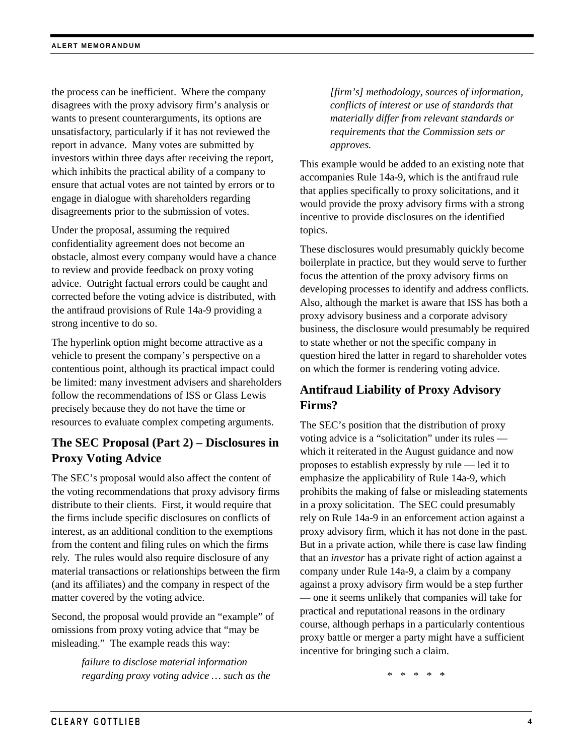the process can be inefficient. Where the company disagrees with the proxy advisory firm's analysis or wants to present counterarguments, its options are unsatisfactory, particularly if it has not reviewed the report in advance. Many votes are submitted by investors within three days after receiving the report, which inhibits the practical ability of a company to ensure that actual votes are not tainted by errors or to engage in dialogue with shareholders regarding disagreements prior to the submission of votes.

Under the proposal, assuming the required confidentiality agreement does not become an obstacle, almost every company would have a chance to review and provide feedback on proxy voting advice. Outright factual errors could be caught and corrected before the voting advice is distributed, with the antifraud provisions of Rule 14a-9 providing a strong incentive to do so.

The hyperlink option might become attractive as a vehicle to present the company's perspective on a contentious point, although its practical impact could be limited: many investment advisers and shareholders follow the recommendations of ISS or Glass Lewis precisely because they do not have the time or resources to evaluate complex competing arguments.

## **The SEC Proposal (Part 2) – Disclosures in Proxy Voting Advice**

The SEC's proposal would also affect the content of the voting recommendations that proxy advisory firms distribute to their clients. First, it would require that the firms include specific disclosures on conflicts of interest, as an additional condition to the exemptions from the content and filing rules on which the firms rely. The rules would also require disclosure of any material transactions or relationships between the firm (and its affiliates) and the company in respect of the matter covered by the voting advice.

Second, the proposal would provide an "example" of omissions from proxy voting advice that "may be misleading." The example reads this way:

> *failure to disclose material information regarding proxy voting advice … such as the*

*[firm's] methodology, sources of information, conflicts of interest or use of standards that materially differ from relevant standards or requirements that the Commission sets or approves.*

This example would be added to an existing note that accompanies Rule 14a-9, which is the antifraud rule that applies specifically to proxy solicitations, and it would provide the proxy advisory firms with a strong incentive to provide disclosures on the identified topics.

These disclosures would presumably quickly become boilerplate in practice, but they would serve to further focus the attention of the proxy advisory firms on developing processes to identify and address conflicts. Also, although the market is aware that ISS has both a proxy advisory business and a corporate advisory business, the disclosure would presumably be required to state whether or not the specific company in question hired the latter in regard to shareholder votes on which the former is rendering voting advice.

## **Antifraud Liability of Proxy Advisory Firms?**

The SEC's position that the distribution of proxy voting advice is a "solicitation" under its rules which it reiterated in the August guidance and now proposes to establish expressly by rule — led it to emphasize the applicability of Rule 14a-9, which prohibits the making of false or misleading statements in a proxy solicitation. The SEC could presumably rely on Rule 14a-9 in an enforcement action against a proxy advisory firm, which it has not done in the past. But in a private action, while there is case law finding that an *investor* has a private right of action against a company under Rule 14a-9, a claim by a company against a proxy advisory firm would be a step further — one it seems unlikely that companies will take for practical and reputational reasons in the ordinary course, although perhaps in a particularly contentious proxy battle or merger a party might have a sufficient incentive for bringing such a claim.

\* \* \* \* \*